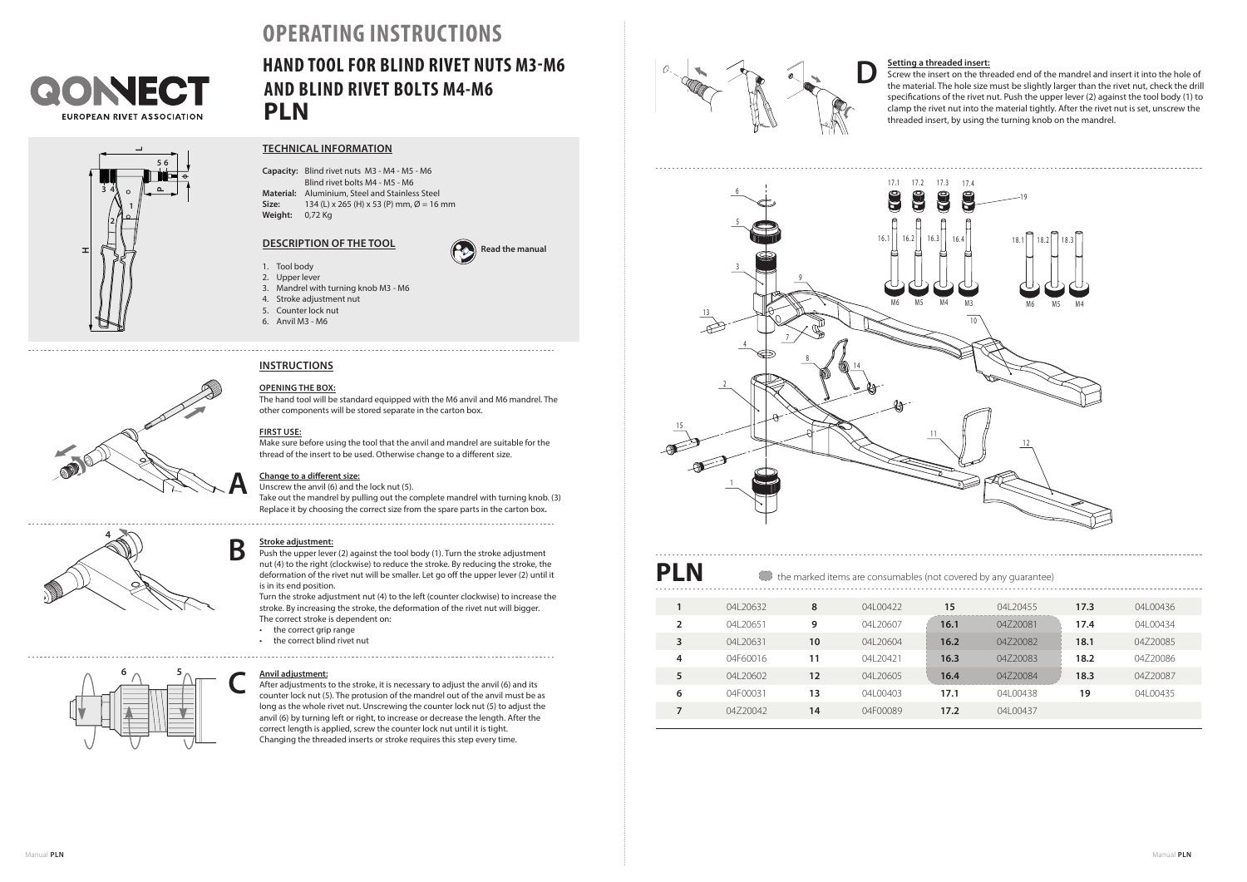



# **OPERATING INSTRUCTIONS**

# **HAND TOOL FOR BLIND RIVET NUTS M3-M6 AND BLIND RIVET BOLTS M4-M6 PLN**

**Read the manual**



**Material:** Aluminium, Steel and Stainless Steel **Weight:** 0,72 Kg **Capacity:** Blind rivet nuts M3 - M4 - M5 - M6 Blind rivet bolts M4 - M5 - M6 **Size:** 134 (L) x 265 (H) x 53 (P) mm,  $\varnothing$  = 16 mm

Blind rivet bolts M4 - M5 - M6

# **DESCRIPTION OF THE TOOL**



- 2. Upper lever
- 3. Mandrel with turning knob M3 M6
- 4. Stroke adjustment nut
- 5. Counter lock nut
- 6. Anvil M3 M6

**INSTRUCTIONS** 

4. Stroke adjustment nut

### **OPENING THE BOX:**

other components will be stored separate in the carton box. The hand tool will be standard equipped with the M6 anvil and M6 mandrel. The

### **FIRST USE:**

**A**

**OPENING THE BOX:** Make sure before using the tool that the anvil and mandrel are suitable for the will be stare before dailing the tool that the anvir and mandrel are suitable for the thread of the insert to be used. Otherwise change to a different size.

### **Change to a different size:**

**Enange to a amerom shee:**<br>Unscrew the anvil (6) and the lock nut (5). make out the mandrel by pulling out the complete mandrel with turning knob. (3) Replace it by choosing the correct size from the spare parts in the carton box.



### **Stroke adjustment:** ्<br>२

Push the upper lever (2) against the tool body (1). Turn the stroke adjustment nut (4) to the right (clockwise) to reduce the stroke. By reducing the stroke, the deformation of the rivet nut will be smaller. Let go off the upper lever (2) until it is in its end position.

Turn the stroke adjustment nut (4) to the left (counter clockwise) to increase the stroke. By increasing the stroke, the deformation of the rivet nut will bigger. The correct stroke is dependent on: The stroke. By reducing the stroke, the stroke, the stroke, the stroke, the stroke, the stroke, the stroke, the stroke, the stroke, the stroke, the stroke, the stroke, the stroke, the st

Turn the stroke adjustment nut (4) to the left (counter clockwise) to increase the

- the correct grip range. Let  $\mathcal{L}$  until it is until it is until it is until it it is until it in the upper level of the upper level of the upper level of the upper level of the upper level of the upper level of the up
- the correct blind rivet nut



### **Anvil adjustment:**

<mark>Anvil adjustment:</mark><br>After adjustments to the stroke, it is necessary to adjust the anvil (6) and its counter lock nut (5). The protusion of the mandrel out of the anvil must be as<br>long as the whole rivet nut. Unscrewing the counter lock nut (5) to adjust the Changing the threaded inserts or stroke requires this step every time.<br>Changing the threaded inserts or stroke requires this step every time. counter lock nut (5). The protusion of the mandrel out of the anvil must be as anvil (6) by turning left or right, to increase or decrease the length. After the correct length is applied, screw the counter lock nut until it is tight.



### Setting a threaded insert:

Setting a threaded insert:<br>Screw the insert on the threaded end of the mandrel and insert it into the hole of<br>the material. The hole size must be slightly larger than the rivet nut, check the dri the material. The hole size must be slightly larger than the rivet nut, check the drill specifications of the rivet nut. Push the upper lever (2) against the tool body (1) to specifications of the rivet nut. Push the upper lever (2) against the tool body (1) to<br>clamp the rivet nut into the material tightly. After the rivet nut is set, unscrew the threaded insert, by using the turning knob on the mandrel.



# **TIOS HN6 PLN**

**PLN** the marked items are consumables (not covered by any guarantee)

**1** 04L20632 **8** 04L00422 **15** 04L20455 **17.3** 04L00436

|               | 04L20632  | 8  | 04L00422  | 15   | 04 20455 | 17.3 | 04L00436 |
|---------------|-----------|----|-----------|------|----------|------|----------|
| $\mathcal{P}$ | 04L20651  | 9  | 041 20607 | 16.1 | 04720081 | 17.4 | 04L00434 |
| 3             | 04L20631  | 10 | 04L20604  | 16.2 | 04720082 | 18.1 | 04Z20085 |
| 4             | 04F60016  | 11 | 041 20421 | 16.3 | 04720083 | 18.2 | 04Z20086 |
| 5             | 041 20602 | 12 | 04L20605  | 16.4 | 04Z20084 | 18.3 | 04Z20087 |
| 6             | 04F00031  | 13 | 04L00403  | 17.1 | 04L00438 | 19   | 04L00435 |
| 7             | 04Z20042  | 14 | 04F00089  | 17.2 | 04L00437 |      |          |
|               |           |    |           |      |          |      |          |